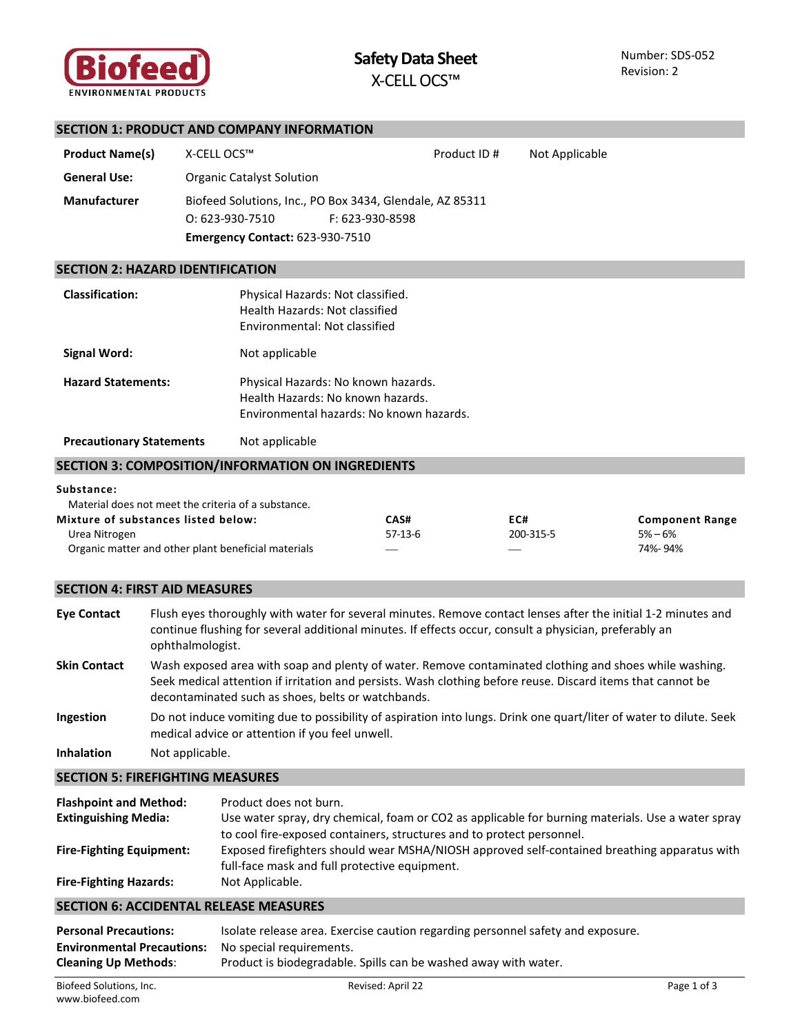

|                                                                                                             | <b>SECTION 1: PRODUCT AND COMPANY INFORMATION</b>                                                                           |                                          |             |                |                                                |
|-------------------------------------------------------------------------------------------------------------|-----------------------------------------------------------------------------------------------------------------------------|------------------------------------------|-------------|----------------|------------------------------------------------|
| <b>Product Name(s)</b>                                                                                      | X-CELL OCS™                                                                                                                 |                                          | Product ID# | Not Applicable |                                                |
| <b>General Use:</b>                                                                                         | <b>Organic Catalyst Solution</b>                                                                                            |                                          |             |                |                                                |
| <b>Manufacturer</b>                                                                                         | Biofeed Solutions, Inc., PO Box 3434, Glendale, AZ 85311<br>$O: 623 - 930 - 7510$<br><b>Emergency Contact: 623-930-7510</b> | F: 623-930-8598                          |             |                |                                                |
| <b>SECTION 2: HAZARD IDENTIFICATION</b>                                                                     |                                                                                                                             |                                          |             |                |                                                |
| <b>Classification:</b>                                                                                      | Physical Hazards: Not classified.<br>Health Hazards: Not classified<br>Environmental: Not classified                        |                                          |             |                |                                                |
| <b>Signal Word:</b>                                                                                         | Not applicable                                                                                                              |                                          |             |                |                                                |
| <b>Hazard Statements:</b>                                                                                   | Physical Hazards: No known hazards.<br>Health Hazards: No known hazards.                                                    | Environmental hazards: No known hazards. |             |                |                                                |
| <b>Precautionary Statements</b>                                                                             | Not applicable                                                                                                              |                                          |             |                |                                                |
| <b>SECTION 3: COMPOSITION/INFORMATION ON INGREDIENTS</b>                                                    |                                                                                                                             |                                          |             |                |                                                |
| Substance:                                                                                                  | Material does not meet the criteria of a substance.                                                                         |                                          |             |                |                                                |
| Mixture of substances listed below:<br>Urea Nitrogen<br>Organic matter and other plant beneficial materials |                                                                                                                             | CAS#<br>$57-13-6$                        | EC#         | 200-315-5      | <b>Component Range</b><br>$5% - 6%$<br>74%-94% |

# **SECTION 4: FIRST AID MEASURES**

**Eye Contact** Flush eyes thoroughly with water for several minutes. Remove contact lenses after the initial 1-2 minutes and continue flushing for several additional minutes. If effects occur, consult a physician, preferably an ophthalmologist. **Skin Contact** Wash exposed area with soap and plenty of water. Remove contaminated clothing and shoes while washing. Seek medical attention if irritation and persists. Wash clothing before reuse. Discard items that cannot be decontaminated such as shoes, belts or watchbands. **Ingestion** Do not induce vomiting due to possibility of aspiration into lungs. Drink one quart/liter of water to dilute. Seek medical advice or attention if you feel unwell.

**Inhalation** Not applicable.

# **SECTION 5: FIREFIGHTING MEASURES**

| <b>Flashpoint and Method:</b>   | Product does not burn.                                                                            |
|---------------------------------|---------------------------------------------------------------------------------------------------|
| <b>Extinguishing Media:</b>     | Use water spray, dry chemical, foam or CO2 as applicable for burning materials. Use a water spray |
|                                 | to cool fire-exposed containers, structures and to protect personnel.                             |
| <b>Fire-Fighting Equipment:</b> | Exposed firefighters should wear MSHA/NIOSH approved self-contained breathing apparatus with      |
|                                 | full-face mask and full protective equipment.                                                     |
| <b>Fire-Fighting Hazards:</b>   | Not Applicable.                                                                                   |

# **SECTION 6: ACCIDENTAL RELEASE MEASURES**

| <b>Personal Precautions:</b>                               | Isolate release area. Exercise caution regarding personnel safety and exposure. |
|------------------------------------------------------------|---------------------------------------------------------------------------------|
| <b>Environmental Precautions:</b> No special requirements. |                                                                                 |
| <b>Cleaning Up Methods:</b>                                | Product is biodegradable. Spills can be washed away with water.                 |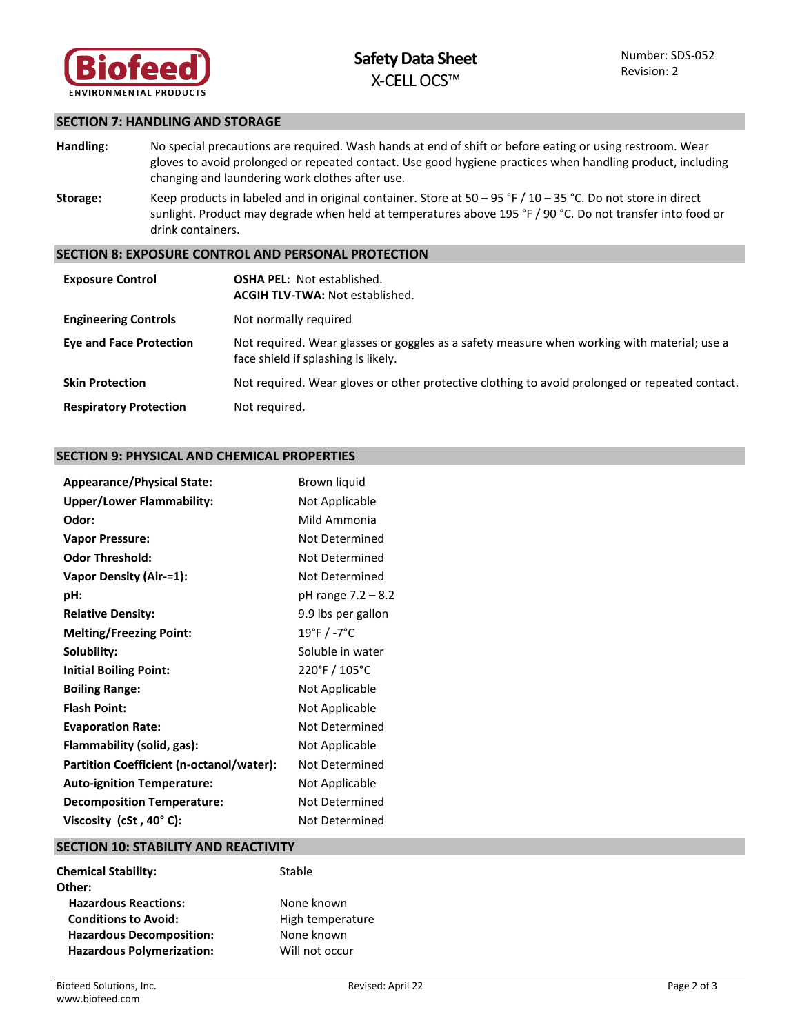

## **SECTION 7: HANDLING AND STORAGE**

- **Handling:** No special precautions are required. Wash hands at end of shift or before eating or using restroom. Wear gloves to avoid prolonged or repeated contact. Use good hygiene practices when handling product, including changing and laundering work clothes after use.
- **Storage:** Keep products in labeled and in original container. Store at 50 95 °F / 10 35 °C. Do not store in direct sunlight. Product may degrade when held at temperatures above 195 °F / 90 °C. Do not transfer into food or drink containers.

### **SECTION 8: EXPOSURE CONTROL AND PERSONAL PROTECTION**

| <b>Exposure Control</b>        | <b>OSHA PEL: Not established.</b><br><b>ACGIH TLV-TWA: Not established.</b>                                                        |
|--------------------------------|------------------------------------------------------------------------------------------------------------------------------------|
| <b>Engineering Controls</b>    | Not normally required                                                                                                              |
| <b>Eye and Face Protection</b> | Not required. Wear glasses or goggles as a safety measure when working with material; use a<br>face shield if splashing is likely. |
| <b>Skin Protection</b>         | Not required. Wear gloves or other protective clothing to avoid prolonged or repeated contact.                                     |
| <b>Respiratory Protection</b>  | Not required.                                                                                                                      |

### **SECTION 9: PHYSICAL AND CHEMICAL PROPERTIES**

| <b>Appearance/Physical State:</b>        | Brown liquid       |
|------------------------------------------|--------------------|
| <b>Upper/Lower Flammability:</b>         | Not Applicable     |
| Odor:                                    | Mild Ammonia       |
| <b>Vapor Pressure:</b>                   | Not Determined     |
| <b>Odor Threshold:</b>                   | Not Determined     |
| <b>Vapor Density (Air-=1):</b>           | Not Determined     |
| pH:                                      | pH range 7.2 – 8.2 |
| <b>Relative Density:</b>                 | 9.9 lbs per gallon |
| <b>Melting/Freezing Point:</b>           | 19°F / -7°C        |
| Solubility:                              | Soluble in water   |
| <b>Initial Boiling Point:</b>            | 220°F / 105°C      |
| <b>Boiling Range:</b>                    | Not Applicable     |
| <b>Flash Point:</b>                      | Not Applicable     |
| <b>Evaporation Rate:</b>                 | Not Determined     |
| Flammability (solid, gas):               | Not Applicable     |
| Partition Coefficient (n-octanol/water): | Not Determined     |
| <b>Auto-ignition Temperature:</b>        | Not Applicable     |
| <b>Decomposition Temperature:</b>        | Not Determined     |
| Viscosity (cSt, 40°C):                   | Not Determined     |

#### **SECTION 10: STABILITY AND REACTIVITY**

| <b>Chemical Stability:</b>       | Stable           |
|----------------------------------|------------------|
| Other:                           |                  |
| <b>Hazardous Reactions:</b>      | None known       |
| <b>Conditions to Avoid:</b>      | High temperature |
| <b>Hazardous Decomposition:</b>  | None known       |
| <b>Hazardous Polymerization:</b> | Will not occur   |
|                                  |                  |